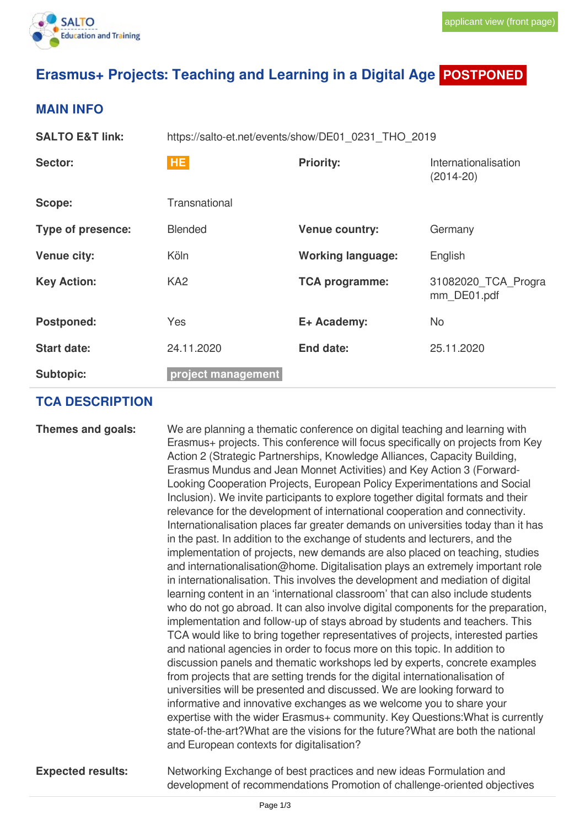

## **Erasmus+ Projects: Teaching and Learning in a Digital Age POSTPONED**

## **MAIN INFO**

| <b>SALTO E&amp;T link:</b> | https://salto-et.net/events/show/DE01_0231_THO_2019 |                          |                                       |  |
|----------------------------|-----------------------------------------------------|--------------------------|---------------------------------------|--|
| Sector:                    | HE.                                                 | <b>Priority:</b>         | Internationalisation<br>$(2014 - 20)$ |  |
| Scope:                     | Transnational                                       |                          |                                       |  |
| <b>Type of presence:</b>   | <b>Blended</b>                                      | <b>Venue country:</b>    | Germany                               |  |
| <b>Venue city:</b>         | Köln                                                | <b>Working language:</b> | English                               |  |
| <b>Key Action:</b>         | KA <sub>2</sub>                                     | <b>TCA programme:</b>    | 31082020 TCA Progra<br>mm DE01.pdf    |  |
| <b>Postponed:</b>          | <b>Yes</b>                                          | E+ Academy:              | <b>No</b>                             |  |
| <b>Start date:</b>         | 24.11.2020                                          | End date:                | 25.11.2020                            |  |
| <b>Subtopic:</b>           | project management                                  |                          |                                       |  |

## **TCA DESCRIPTION**

| Themes and goals:        | We are planning a thematic conference on digital teaching and learning with<br>Erasmus+ projects. This conference will focus specifically on projects from Key<br>Action 2 (Strategic Partnerships, Knowledge Alliances, Capacity Building,<br>Erasmus Mundus and Jean Monnet Activities) and Key Action 3 (Forward-<br>Looking Cooperation Projects, European Policy Experimentations and Social<br>Inclusion). We invite participants to explore together digital formats and their<br>relevance for the development of international cooperation and connectivity.<br>Internationalisation places far greater demands on universities today than it has<br>in the past. In addition to the exchange of students and lecturers, and the<br>implementation of projects, new demands are also placed on teaching, studies<br>and internationalisation@home. Digitalisation plays an extremely important role<br>in internationalisation. This involves the development and mediation of digital<br>learning content in an 'international classroom' that can also include students<br>who do not go abroad. It can also involve digital components for the preparation,<br>implementation and follow-up of stays abroad by students and teachers. This<br>TCA would like to bring together representatives of projects, interested parties<br>and national agencies in order to focus more on this topic. In addition to<br>discussion panels and thematic workshops led by experts, concrete examples<br>from projects that are setting trends for the digital internationalisation of<br>universities will be presented and discussed. We are looking forward to<br>informative and innovative exchanges as we welcome you to share your<br>expertise with the wider Erasmus+ community. Key Questions: What is currently<br>state-of-the-art? What are the visions for the future? What are both the national<br>and European contexts for digitalisation? |
|--------------------------|---------------------------------------------------------------------------------------------------------------------------------------------------------------------------------------------------------------------------------------------------------------------------------------------------------------------------------------------------------------------------------------------------------------------------------------------------------------------------------------------------------------------------------------------------------------------------------------------------------------------------------------------------------------------------------------------------------------------------------------------------------------------------------------------------------------------------------------------------------------------------------------------------------------------------------------------------------------------------------------------------------------------------------------------------------------------------------------------------------------------------------------------------------------------------------------------------------------------------------------------------------------------------------------------------------------------------------------------------------------------------------------------------------------------------------------------------------------------------------------------------------------------------------------------------------------------------------------------------------------------------------------------------------------------------------------------------------------------------------------------------------------------------------------------------------------------------------------------------------------------------------------------------------------------------------------------------------------|
| <b>Expected results:</b> | Networking Exchange of best practices and new ideas Formulation and<br>development of recommendations Promotion of challenge-oriented objectives                                                                                                                                                                                                                                                                                                                                                                                                                                                                                                                                                                                                                                                                                                                                                                                                                                                                                                                                                                                                                                                                                                                                                                                                                                                                                                                                                                                                                                                                                                                                                                                                                                                                                                                                                                                                              |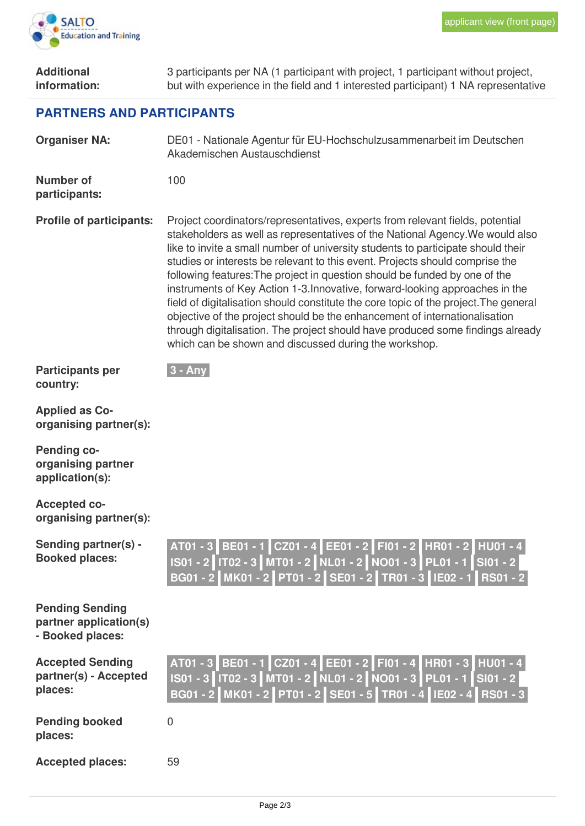

| <b>Additional</b><br>information:                                    | 3 participants per NA (1 participant with project, 1 participant without project,<br>but with experience in the field and 1 interested participant) 1 NA representative                                                                                                                                                                                                                                                                                                                                                                                                                                                                                                                                                                                                                                           |  |  |  |  |
|----------------------------------------------------------------------|-------------------------------------------------------------------------------------------------------------------------------------------------------------------------------------------------------------------------------------------------------------------------------------------------------------------------------------------------------------------------------------------------------------------------------------------------------------------------------------------------------------------------------------------------------------------------------------------------------------------------------------------------------------------------------------------------------------------------------------------------------------------------------------------------------------------|--|--|--|--|
| <b>PARTNERS AND PARTICIPANTS</b>                                     |                                                                                                                                                                                                                                                                                                                                                                                                                                                                                                                                                                                                                                                                                                                                                                                                                   |  |  |  |  |
| <b>Organiser NA:</b>                                                 | DE01 - Nationale Agentur für EU-Hochschulzusammenarbeit im Deutschen<br>Akademischen Austauschdienst                                                                                                                                                                                                                                                                                                                                                                                                                                                                                                                                                                                                                                                                                                              |  |  |  |  |
| <b>Number of</b><br>participants:                                    | 100                                                                                                                                                                                                                                                                                                                                                                                                                                                                                                                                                                                                                                                                                                                                                                                                               |  |  |  |  |
| <b>Profile of participants:</b>                                      | Project coordinators/representatives, experts from relevant fields, potential<br>stakeholders as well as representatives of the National Agency. We would also<br>like to invite a small number of university students to participate should their<br>studies or interests be relevant to this event. Projects should comprise the<br>following features: The project in question should be funded by one of the<br>instruments of Key Action 1-3. Innovative, forward-looking approaches in the<br>field of digitalisation should constitute the core topic of the project. The general<br>objective of the project should be the enhancement of internationalisation<br>through digitalisation. The project should have produced some findings already<br>which can be shown and discussed during the workshop. |  |  |  |  |
| <b>Participants per</b><br>country:                                  | $3 - Any$                                                                                                                                                                                                                                                                                                                                                                                                                                                                                                                                                                                                                                                                                                                                                                                                         |  |  |  |  |
| <b>Applied as Co-</b><br>organising partner(s):                      |                                                                                                                                                                                                                                                                                                                                                                                                                                                                                                                                                                                                                                                                                                                                                                                                                   |  |  |  |  |
| <b>Pending co-</b><br>organising partner<br>application(s):          |                                                                                                                                                                                                                                                                                                                                                                                                                                                                                                                                                                                                                                                                                                                                                                                                                   |  |  |  |  |
| <b>Accepted co-</b><br>organising partner(s):                        |                                                                                                                                                                                                                                                                                                                                                                                                                                                                                                                                                                                                                                                                                                                                                                                                                   |  |  |  |  |
| Sending partner(s) -<br><b>Booked places:</b>                        | AT01 - 3 BE01 - 1 CZ01 - 4 EE01 - 2 FI01 - 2 HR01 - 2 HU01 - 4<br>IS01 - 2 IT02 - 3 MT01 - 2 NL01 - 2 NO01 - 3 PL01 - 1 SI01 - 2<br>BG01 - 2 MK01 - 2 PT01 - 2 SE01 - 2 TR01 - 3 IE02 - 1 RS01 - 2                                                                                                                                                                                                                                                                                                                                                                                                                                                                                                                                                                                                                |  |  |  |  |
| <b>Pending Sending</b><br>partner application(s)<br>- Booked places: |                                                                                                                                                                                                                                                                                                                                                                                                                                                                                                                                                                                                                                                                                                                                                                                                                   |  |  |  |  |
| <b>Accepted Sending</b><br>partner(s) - Accepted<br>places:          | AT01 - 3 BE01 - 1 CZ01 - 4 EE01 - 2 FI01 - 4 HR01 - 3 HU01 - 4<br>IS01 - 3   IT02 - 3   MT01 - 2   NL01 - 2   NO01 - 3   PL01 - 1   SI01 - 2  <br>BG01 - 2 MK01 - 2 PT01 - 2 SE01 - 5 TR01 - 4 IE02 - 4 RS01 - 3                                                                                                                                                                                                                                                                                                                                                                                                                                                                                                                                                                                                  |  |  |  |  |
| <b>Pending booked</b><br>places:                                     | $\mathbf 0$                                                                                                                                                                                                                                                                                                                                                                                                                                                                                                                                                                                                                                                                                                                                                                                                       |  |  |  |  |
| <b>Accepted places:</b>                                              | 59                                                                                                                                                                                                                                                                                                                                                                                                                                                                                                                                                                                                                                                                                                                                                                                                                |  |  |  |  |